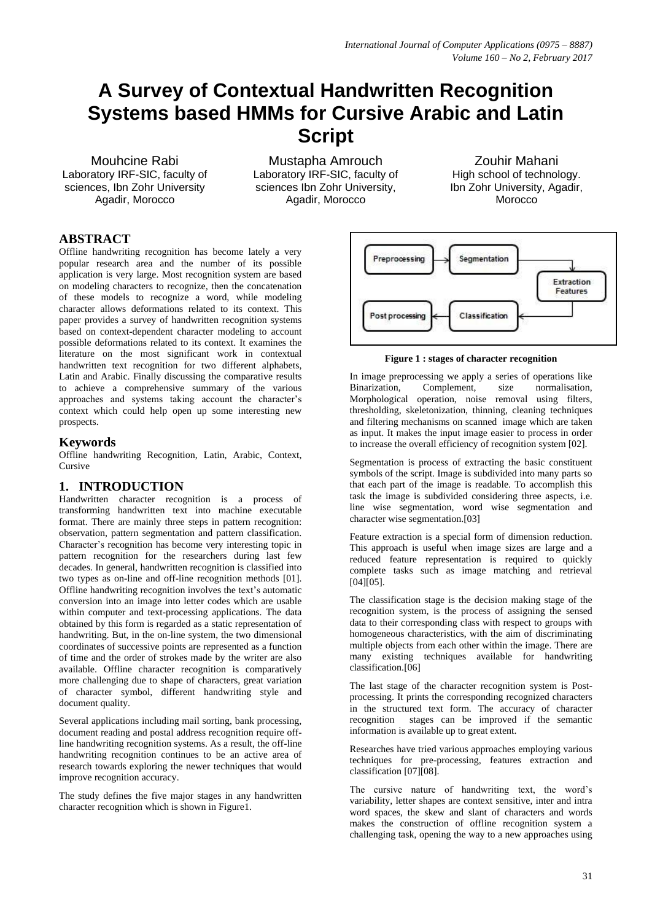# **A Survey of Contextual Handwritten Recognition Systems based HMMs for Cursive Arabic and Latin Script**

Mouhcine Rabi Laboratory IRF-SIC, faculty of sciences, Ibn Zohr University Agadir, Morocco

Mustapha Amrouch Laboratory IRF-SIC, faculty of sciences Ibn Zohr University, Agadir, Morocco

Zouhir Mahani High school of technology. Ibn Zohr University, Agadir, Morocco

# **ABSTRACT**

Offline handwriting recognition has become lately a very popular research area and the number of its possible application is very large. Most recognition system are based on modeling characters to recognize, then the concatenation of these models to recognize a word, while modeling character allows deformations related to its context. This paper provides a survey of handwritten recognition systems based on context-dependent character modeling to account possible deformations related to its context. It examines the literature on the most significant work in contextual handwritten text recognition for two different alphabets, Latin and Arabic. Finally discussing the comparative results to achieve a comprehensive summary of the various approaches and systems taking account the character's context which could help open up some interesting new prospects.

## **Keywords**

Offline handwriting Recognition, Latin, Arabic, Context, Cursive

# **1. INTRODUCTION**

Handwritten character recognition is a process of transforming handwritten text into machine executable format. There are mainly three steps in pattern recognition: observation, pattern segmentation and pattern classification. Character's recognition has become very interesting topic in pattern recognition for the researchers during last few decades. In general, handwritten recognition is classified into two types as on-line and off-line recognition methods [01]. Offline handwriting recognition involves the text's automatic conversion into an image into letter codes which are usable within computer and text-processing applications. The data obtained by this form is regarded as a static representation of handwriting. But, in the on-line system, the two dimensional coordinates of successive points are represented as a function of time and the order of strokes made by the writer are also available. Offline character recognition is comparatively more challenging due to shape of characters, great variation of character symbol, different handwriting style and document quality.

Several applications including mail sorting, bank processing, document reading and postal address recognition require offline handwriting recognition systems. As a result, the off-line handwriting recognition continues to be an active area of research towards exploring the newer techniques that would improve recognition accuracy.

The study defines the five major stages in any handwritten character recognition which is shown in Figure1.



#### **Figure 1 : stages of character recognition**

In image preprocessing we apply a series of operations like Binarization, Complement, size normalisation, Morphological operation, noise removal using filters, thresholding, skeletonization, thinning, cleaning techniques and filtering mechanisms on scanned image which are taken as input. It makes the input image easier to process in order to increase the overall efficiency of recognition system [02].

Segmentation is process of extracting the basic constituent symbols of the script. Image is subdivided into many parts so that each part of the image is readable. To accomplish this task the image is subdivided considering three aspects, i.e. line wise segmentation, word wise segmentation and character wise segmentation.[03]

Feature extraction is a special form of dimension reduction. This approach is useful when image sizes are large and a reduced feature representation is required to quickly complete tasks such as image matching and retrieval [04][05].

The classification stage is the decision making stage of the recognition system, is the process of assigning the sensed data to their corresponding class with respect to groups with homogeneous characteristics, with the aim of discriminating multiple objects from each other within the image. There are many existing techniques available for handwriting classification.[06]

The last stage of the character recognition system is Postprocessing. It prints the corresponding recognized characters in the structured text form. The accuracy of character recognition stages can be improved if the semantic stages can be improved if the semantic information is available up to great extent.

Researches have tried various approaches employing various techniques for pre-processing, features extraction and classification [07][08].

The cursive nature of handwriting text, the word's variability, letter shapes are context sensitive, inter and intra word spaces, the skew and slant of characters and words makes the construction of offline recognition system a challenging task, opening the way to a new approaches using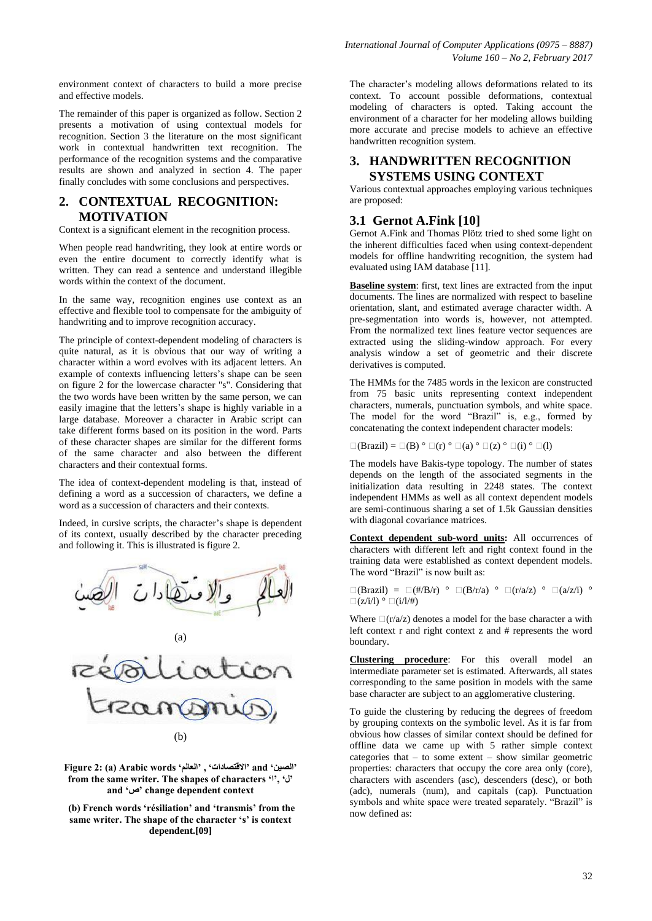environment context of characters to build a more precise and effective models.

The remainder of this paper is organized as follow. Section 2 presents a motivation of using contextual models for recognition. Section 3 the literature on the most significant work in contextual handwritten text recognition. The performance of the recognition systems and the comparative results are shown and analyzed in section 4. The paper finally concludes with some conclusions and perspectives.

# **2. CONTEXTUAL RECOGNITION: MOTIVATION**

Context is a significant element in the recognition process.

When people read handwriting, they look at entire words or even the entire document to correctly identify what is written. They can read a sentence and understand illegible words within the context of the document.

In the same way, recognition engines use context as an effective and flexible tool to compensate for the ambiguity of handwriting and to improve recognition accuracy.

The principle of context-dependent modeling of characters is quite natural, as it is obvious that our way of writing a character within a word evolves with its adjacent letters. An example of contexts influencing letters's shape can be seen on figure 2 for the lowercase character "s". Considering that the two words have been written by the same person, we can easily imagine that the letters's shape is highly variable in a large database. Moreover a character in Arabic script can take different forms based on its position in the word. Parts of these character shapes are similar for the different forms of the same character and also between the different characters and their contextual forms.

The idea of context-dependent modeling is that, instead of defining a word as a succession of characters, we define a word as a succession of characters and their contexts.

Indeed, in cursive scripts, the character's shape is dependent of its context, usually described by the character preceding and following it. This is illustrated is figure 2.



**Figure 2: (a) Arabic words "العالم "," االقتصادات "and "الصين "** from the same writer. The shapes of characters '', 'J' **and "ص "change dependent context**

**(b) French words "résiliation" and "transmis" from the**  same writer. The shape of the character 's' is context **dependent.[09]**

The character's modeling allows deformations related to its context. To account possible deformations, contextual modeling of characters is opted. Taking account the environment of a character for her modeling allows building more accurate and precise models to achieve an effective handwritten recognition system.

# **3. HANDWRITTEN RECOGNITION SYSTEMS USING CONTEXT**

Various contextual approaches employing various techniques are proposed:

# **3.1 Gernot A.Fink [10]**

Gernot A.Fink and Thomas Plötz tried to shed some light on the inherent difficulties faced when using context-dependent models for offline handwriting recognition, the system had evaluated using IAM database [11].

**Baseline system**: first, text lines are extracted from the input documents. The lines are normalized with respect to baseline orientation, slant, and estimated average character width. A pre-segmentation into words is, however, not attempted. From the normalized text lines feature vector sequences are extracted using the sliding-window approach. For every analysis window a set of geometric and their discrete derivatives is computed.

The HMMs for the 7485 words in the lexicon are constructed from 75 basic units representing context independent characters, numerals, punctuation symbols, and white space. The model for the word "Brazil" is, e.g., formed by concatenating the context independent character models:

 $\square$ (Brazil) =  $\square$ (B)  $\degree$   $\square$ (r)  $\degree$   $\square$ (a)  $\degree$   $\square$ (z)  $\degree$   $\square$ (i)  $\degree$   $\square$ (l)

The models have Bakis-type topology. The number of states depends on the length of the associated segments in the initialization data resulting in 2248 states. The context independent HMMs as well as all context dependent models are semi-continuous sharing a set of 1.5k Gaussian densities with diagonal covariance matrices.

**Context dependent sub-word units:** All occurrences of characters with different left and right context found in the training data were established as context dependent models. The word "Brazil" is now built as:

$$
\Box(\text{Brazil}) = \Box(\#/\mathbf{B/r}) \circ \Box(\mathbf{B/r/a}) \circ \Box(\mathbf{r}/a/z) \circ \Box(\mathbf{a}/z/i) \circ \Box(\mathbf{z}/i/\mathbf{I}) \circ \Box(\mathbf{a}/\mathbf{I}/\mathbf{H})
$$

Where  $\Box(r/a/z)$  denotes a model for the base character a with left context r and right context z and # represents the word boundary.

**Clustering procedure**: For this overall model an intermediate parameter set is estimated. Afterwards, all states corresponding to the same position in models with the same base character are subject to an agglomerative clustering.

To guide the clustering by reducing the degrees of freedom by grouping contexts on the symbolic level. As it is far from obvious how classes of similar context should be defined for offline data we came up with 5 rather simple context categories that – to some extent – show similar geometric properties: characters that occupy the core area only (core), characters with ascenders (asc), descenders (desc), or both (adc), numerals (num), and capitals (cap). Punctuation symbols and white space were treated separately. "Brazil" is now defined as: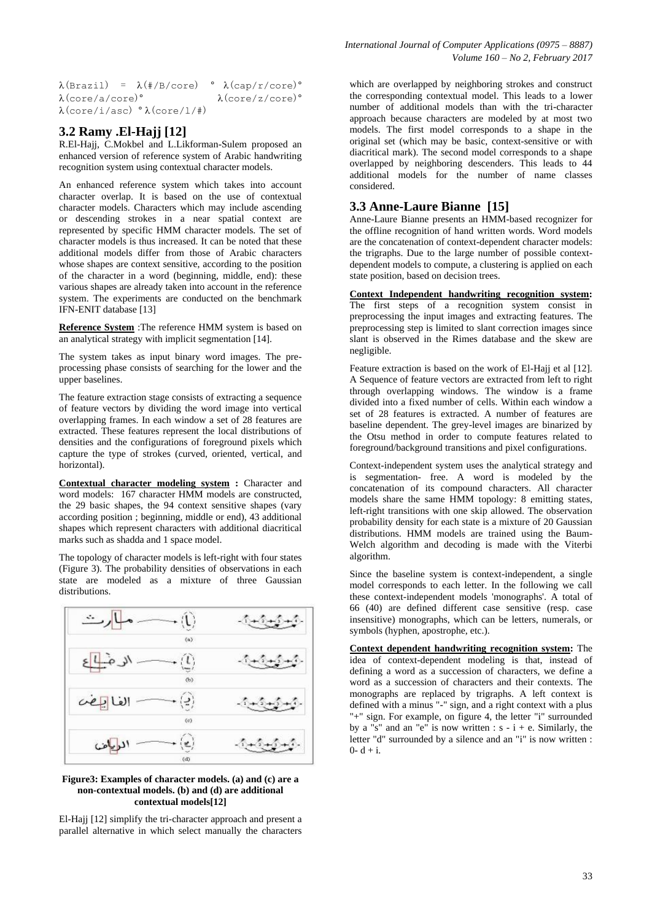$\lambda$ (Brazil) =  $\lambda$ (#/B/core) °  $\lambda$ (cap/r/core)°  $\lambda$ (core/a/core)°  $\lambda$ (core/z/core)°  $\lambda$ (core/i/asc)  $\lambda$ (core/1/#)

## **3.2 Ramy .El-Hajj [12]**

R.El-Hajj, C.Mokbel and L.Likforman-Sulem proposed an enhanced version of reference system of Arabic handwriting recognition system using contextual character models.

An enhanced reference system which takes into account character overlap. It is based on the use of contextual character models. Characters which may include ascending or descending strokes in a near spatial context are represented by specific HMM character models. The set of character models is thus increased. It can be noted that these additional models differ from those of Arabic characters whose shapes are context sensitive, according to the position of the character in a word (beginning, middle, end): these various shapes are already taken into account in the reference system. The experiments are conducted on the benchmark IFN-ENIT database [13]

**Reference System** :The reference HMM system is based on an analytical strategy with implicit segmentation [14].

The system takes as input binary word images. The preprocessing phase consists of searching for the lower and the upper baselines.

The feature extraction stage consists of extracting a sequence of feature vectors by dividing the word image into vertical overlapping frames. In each window a set of 28 features are extracted. These features represent the local distributions of densities and the configurations of foreground pixels which capture the type of strokes (curved, oriented, vertical, and horizontal).

**Contextual character modeling system :** Character and word models: 167 character HMM models are constructed, the 29 basic shapes, the 94 context sensitive shapes (vary according position ; beginning, middle or end), 43 additional shapes which represent characters with additional diacritical marks such as shadda and 1 space model.

The topology of character models is left-right with four states (Figure 3). The probability densities of observations in each state are modeled as a mixture of three Gaussian distributions.



#### **Figure3: Examples of character models. (a) and (c) are a non-contextual models. (b) and (d) are additional contextual models[12]**

El-Hajj [12] simplify the tri-character approach and present a parallel alternative in which select manually the characters

which are overlapped by neighboring strokes and construct the corresponding contextual model. This leads to a lower number of additional models than with the tri-character approach because characters are modeled by at most two models. The first model corresponds to a shape in the original set (which may be basic, context-sensitive or with diacritical mark). The second model corresponds to a shape overlapped by neighboring descenders. This leads to 44 additional models for the number of name classes considered.

# **3.3 Anne-Laure Bianne [15]**

Anne-Laure Bianne presents an HMM-based recognizer for the offline recognition of hand written words. Word models are the concatenation of context-dependent character models: the trigraphs. Due to the large number of possible contextdependent models to compute, a clustering is applied on each state position, based on decision trees.

**Context Independent handwriting recognition system:**  The first steps of a recognition system consist in preprocessing the input images and extracting features. The preprocessing step is limited to slant correction images since slant is observed in the Rimes database and the skew are negligible.

Feature extraction is based on the work of El-Hajj et al [12]. A Sequence of feature vectors are extracted from left to right through overlapping windows. The window is a frame divided into a fixed number of cells. Within each window a set of 28 features is extracted. A number of features are baseline dependent. The grey-level images are binarized by the Otsu method in order to compute features related to foreground/background transitions and pixel configurations.

Context-independent system uses the analytical strategy and is segmentation- free. A word is modeled by the concatenation of its compound characters. All character models share the same HMM topology: 8 emitting states, left-right transitions with one skip allowed. The observation probability density for each state is a mixture of 20 Gaussian distributions. HMM models are trained using the Baum-Welch algorithm and decoding is made with the Viterbi algorithm.

Since the baseline system is context-independent, a single model corresponds to each letter. In the following we call these context-independent models 'monographs'. A total of 66 (40) are defined different case sensitive (resp. case insensitive) monographs, which can be letters, numerals, or symbols (hyphen, apostrophe, etc.).

**Context dependent handwriting recognition system:** The idea of context-dependent modeling is that, instead of defining a word as a succession of characters, we define a word as a succession of characters and their contexts. The monographs are replaced by trigraphs. A left context is defined with a minus "-" sign, and a right context with a plus "+" sign. For example, on figure 4, the letter "i" surrounded by a "s" and an "e" is now written :  $s - i + e$ . Similarly, the letter "d" surrounded by a silence and an "i" is now written :  $0 - d + i$ .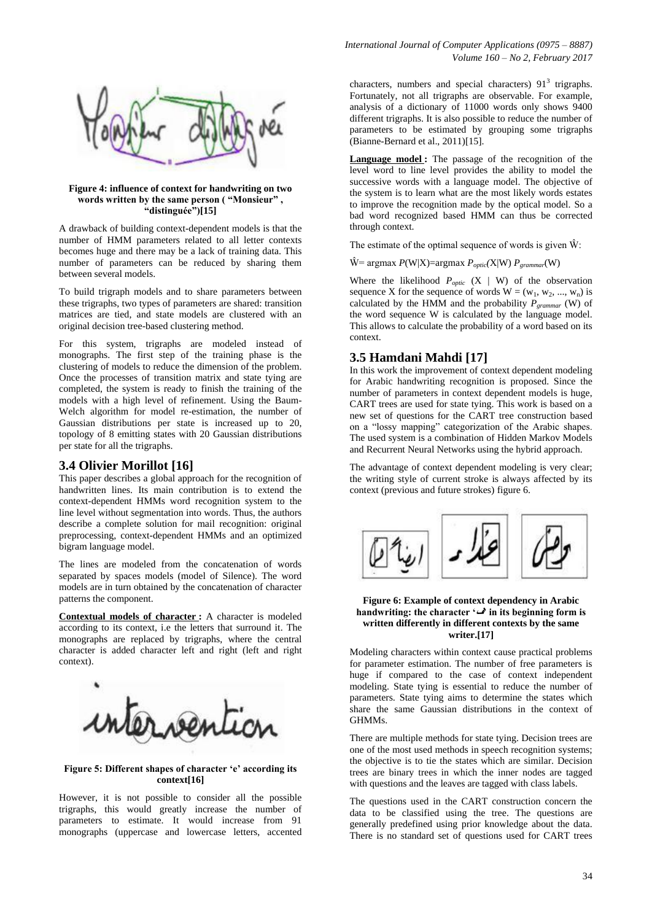

#### **Figure 4: influence of context for handwriting on two words written by the same person ( "Monsieur" , "distinguée")[15]**

A drawback of building context-dependent models is that the number of HMM parameters related to all letter contexts becomes huge and there may be a lack of training data. This number of parameters can be reduced by sharing them between several models.

To build trigraph models and to share parameters between these trigraphs, two types of parameters are shared: transition matrices are tied, and state models are clustered with an original decision tree-based clustering method.

For this system, trigraphs are modeled instead of monographs. The first step of the training phase is the clustering of models to reduce the dimension of the problem. Once the processes of transition matrix and state tying are completed, the system is ready to finish the training of the models with a high level of refinement. Using the Baum-Welch algorithm for model re-estimation, the number of Gaussian distributions per state is increased up to 20, topology of 8 emitting states with 20 Gaussian distributions per state for all the trigraphs.

## **3.4 Olivier Morillot [16]**

This paper describes a global approach for the recognition of handwritten lines. Its main contribution is to extend the context-dependent HMMs word recognition system to the line level without segmentation into words. Thus, the authors describe a complete solution for mail recognition: original preprocessing, context-dependent HMMs and an optimized bigram language model.

The lines are modeled from the concatenation of words separated by spaces models (model of Silence). The word models are in turn obtained by the concatenation of character patterns the component.

**Contextual models of character :** A character is modeled according to its context, i.e the letters that surround it. The monographs are replaced by trigraphs, where the central character is added character left and right (left and right context).



#### **Figure 5: Different shapes of character "e" according its context[16]**

However, it is not possible to consider all the possible trigraphs, this would greatly increase the number of parameters to estimate. It would increase from 91 monographs (uppercase and lowercase letters, accented

characters, numbers and special characters)  $91<sup>3</sup>$  trigraphs. Fortunately, not all trigraphs are observable. For example, analysis of a dictionary of 11000 words only shows 9400 different trigraphs. It is also possible to reduce the number of parameters to be estimated by grouping some trigraphs (Bianne-Bernard et al., 2011)[15].

**Language model :** The passage of the recognition of the level word to line level provides the ability to model the successive words with a language model. The objective of the system is to learn what are the most likely words estates to improve the recognition made by the optical model. So a bad word recognized based HMM can thus be corrected through context.

The estimate of the optimal sequence of words is given  $\hat{W}$ :

 $\hat{W}$  = argmax *P*(W|X)=argmax *P<sub>optic</sub>*(X|W) *P*<sub>grammar</sub>(W)

Where the likelihood  $P_{\text{optic}}$  (X | W) of the observation sequence X for the sequence of words  $W = (w_1, w_2, ..., w_n)$  is calculated by the HMM and the probability *Pgrammar* (W) of the word sequence W is calculated by the language model. This allows to calculate the probability of a word based on its context.

# **3.5 Hamdani Mahdi [17]**

In this work the improvement of context dependent modeling for Arabic handwriting recognition is proposed. Since the number of parameters in context dependent models is huge, CART trees are used for state tying. This work is based on a new set of questions for the CART tree construction based on a "lossy mapping" categorization of the Arabic shapes. The used system is a combination of Hidden Markov Models and Recurrent Neural Networks using the hybrid approach.

The advantage of context dependent modeling is very clear; the writing style of current stroke is always affected by its context (previous and future strokes) figure 6.



#### **Figure 6: Example of context dependency in Arabic handwriting: the character '** $\mathcal{L}$  in its beginning form is **written differently in different contexts by the same writer.[17]**

Modeling characters within context cause practical problems for parameter estimation. The number of free parameters is huge if compared to the case of context independent modeling. State tying is essential to reduce the number of parameters. State tying aims to determine the states which share the same Gaussian distributions in the context of GHMMs.

There are multiple methods for state tying. Decision trees are one of the most used methods in speech recognition systems; the objective is to tie the states which are similar. Decision trees are binary trees in which the inner nodes are tagged with questions and the leaves are tagged with class labels.

The questions used in the CART construction concern the data to be classified using the tree. The questions are generally predefined using prior knowledge about the data. There is no standard set of questions used for CART trees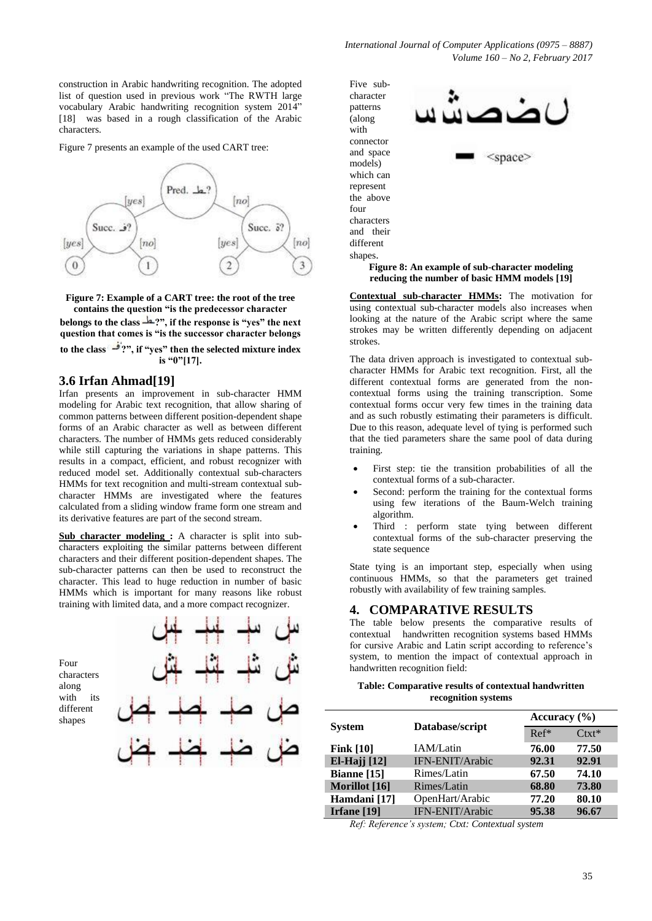construction in Arabic handwriting recognition. The adopted list of question used in previous work "The RWTH large vocabulary Arabic handwriting recognition system 2014" [18] was based in a rough classification of the Arabic characters.

Figure 7 presents an example of the used CART tree:



**Figure 7: Example of a CART tree: the root of the tree contains the question "is the predecessor character belongs to the class ?", if the response is "yes" the next question that comes is "is the successor character belongs to the class ?", if "yes" then the selected mixture index is "0"[17].**

### **3.6 Irfan Ahmad[19]**

Irfan presents an improvement in sub-character HMM modeling for Arabic text recognition, that allow sharing of common patterns between different position-dependent shape forms of an Arabic character as well as between different characters. The number of HMMs gets reduced considerably while still capturing the variations in shape patterns. This results in a compact, efficient, and robust recognizer with reduced model set. Additionally contextual sub-characters HMMs for text recognition and multi-stream contextual subcharacter HMMs are investigated where the features calculated from a sliding window frame form one stream and its derivative features are part of the second stream.

**Sub character modeling :** A character is split into subcharacters exploiting the similar patterns between different characters and their different position-dependent shapes. The sub-character patterns can then be used to reconstruct the character. This lead to huge reduction in number of basic HMMs which is important for many reasons like robust training with limited data, and a more compact recognizer.

| Four<br>characters<br>along<br>its<br>with<br>different<br>shapes |  |
|-------------------------------------------------------------------|--|
|                                                                   |  |
|                                                                   |  |

Five subcharacter patterns (along with connector and space models) which can represent the above four characters and their different shapes.

> **Figure 8: An example of sub-character modeling reducing the number of basic HMM models [19]**

<space>

**Contextual sub-character HMMs:** The motivation for using contextual sub-character models also increases when looking at the nature of the Arabic script where the same strokes may be written differently depending on adjacent strokes.

The data driven approach is investigated to contextual subcharacter HMMs for Arabic text recognition. First, all the different contextual forms are generated from the noncontextual forms using the training transcription. Some contextual forms occur very few times in the training data and as such robustly estimating their parameters is difficult. Due to this reason, adequate level of tying is performed such that the tied parameters share the same pool of data during training.

- First step: tie the transition probabilities of all the contextual forms of a sub-character.
- Second: perform the training for the contextual forms using few iterations of the Baum-Welch training algorithm.
- Third : perform state tying between different contextual forms of the sub-character preserving the state sequence

State tying is an important step, especially when using continuous HMMs, so that the parameters get trained robustly with availability of few training samples.

## **4. COMPARATIVE RESULTS**

The table below presents the comparative results of contextual handwritten recognition systems based HMMs for cursive Arabic and Latin script according to reference's system, to mention the impact of contextual approach in handwritten recognition field:

#### **Table: Comparative results of contextual handwritten recognition systems**

|                     | Database/script | Accuracy $(\% )$ |         |
|---------------------|-----------------|------------------|---------|
| <b>System</b>       |                 | $Ref*$           | $Ctxt*$ |
| Fink $[10]$         | IAM/Latin       | 76.00            | 77.50   |
| <b>El-Hajj</b> [12] | IFN-ENIT/Arabic | 92.31            | 92.91   |
| Bianne [15]         | Rimes/Latin     | 67.50            | 74.10   |
| Morillot [16]       | Rimes/Latin     | 68.80            | 73.80   |
| Hamdani [17]        | OpenHart/Arabic | 77.20            | 80.10   |
| Irfane [19]         | IFN-ENIT/Arabic | 95.38            | 96.67   |
|                     |                 |                  |         |

*Ref: Reference's system; Ctxt: Contextual system*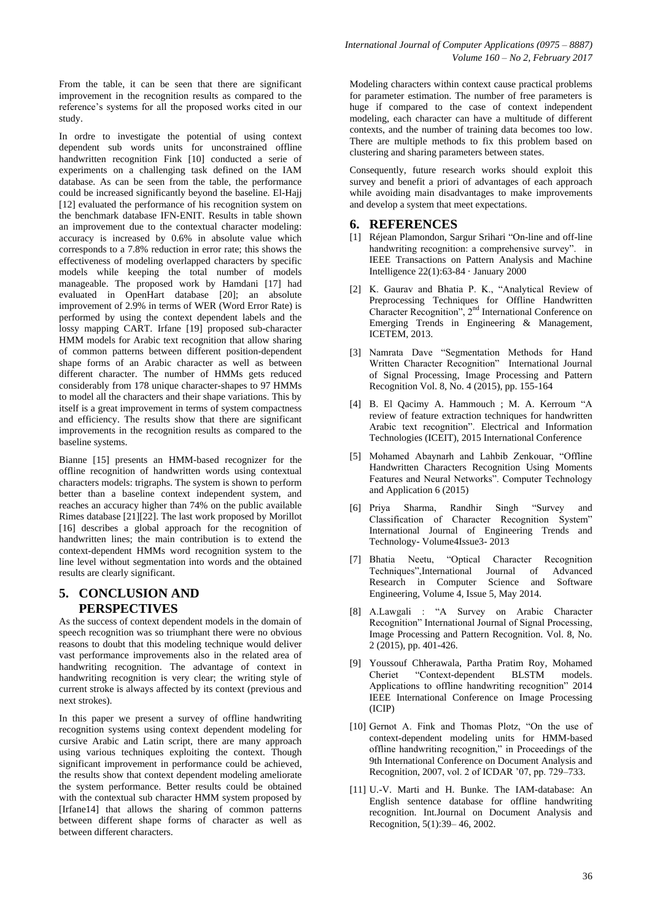From the table, it can be seen that there are significant improvement in the recognition results as compared to the reference's systems for all the proposed works cited in our study.

In ordre to investigate the potential of using context dependent sub words units for unconstrained offline handwritten recognition Fink [10] conducted a serie of experiments on a challenging task defined on the IAM database. As can be seen from the table, the performance could be increased significantly beyond the baseline. El-Hajj [12] evaluated the performance of his recognition system on the benchmark database IFN-ENIT. Results in table shown an improvement due to the contextual character modeling: accuracy is increased by 0.6% in absolute value which corresponds to a 7.8% reduction in error rate; this shows the effectiveness of modeling overlapped characters by specific models while keeping the total number of models manageable. The proposed work by Hamdani [17] had evaluated in OpenHart database [20]; an absolute improvement of 2.9% in terms of WER (Word Error Rate) is performed by using the context dependent labels and the lossy mapping CART. Irfane [19] proposed sub-character HMM models for Arabic text recognition that allow sharing of common patterns between different position-dependent shape forms of an Arabic character as well as between different character. The number of HMMs gets reduced considerably from 178 unique character-shapes to 97 HMMs to model all the characters and their shape variations. This by itself is a great improvement in terms of system compactness and efficiency. The results show that there are significant improvements in the recognition results as compared to the baseline systems.

Bianne [15] presents an HMM-based recognizer for the offline recognition of handwritten words using contextual characters models: trigraphs. The system is shown to perform better than a baseline context independent system, and reaches an accuracy higher than 74% on the public available Rimes database [21][22]. The last work proposed by Morillot [16] describes a global approach for the recognition of handwritten lines; the main contribution is to extend the context-dependent HMMs word recognition system to the line level without segmentation into words and the obtained results are clearly significant.

# **5. CONCLUSION AND PERSPECTIVES**

As the success of context dependent models in the domain of speech recognition was so triumphant there were no obvious reasons to doubt that this modeling technique would deliver vast performance improvements also in the related area of handwriting recognition. The advantage of context in handwriting recognition is very clear; the writing style of current stroke is always affected by its context (previous and next strokes).

In this paper we present a survey of offline handwriting recognition systems using context dependent modeling for cursive Arabic and Latin script, there are many approach using various techniques exploiting the context. Though significant improvement in performance could be achieved, the results show that context dependent modeling ameliorate the system performance. Better results could be obtained with the contextual sub character HMM system proposed by [Irfane14] that allows the sharing of common patterns between different shape forms of character as well as between different characters.

Modeling characters within context cause practical problems for parameter estimation. The number of free parameters is huge if compared to the case of context independent modeling, each character can have a multitude of different contexts, and the number of training data becomes too low. There are multiple methods to fix this problem based on clustering and sharing parameters between states.

Consequently, future research works should exploit this survey and benefit a priori of advantages of each approach while avoiding main disadvantages to make improvements and develop a system that meet expectations.

## **6. REFERENCES**

- [1] [Réjean Plamondon,](https://www.researchgate.net/profile/Rejean_Plamondon) [Sargur Srihari](https://www.researchgate.net/profile/Sargur_Srihari2) "On-line and off-line handwriting recognition: a comprehensive survey". in [IEEE Transactions on Pattern Analysis and Machine](https://www.researchgate.net/journal/0162-8828_IEEE_Transactions_on_Pattern_Analysis_and_Machine_Intelligence)  [Intelligence](https://www.researchgate.net/journal/0162-8828_IEEE_Transactions_on_Pattern_Analysis_and_Machine_Intelligence) 22(1):63-84 · January 2000
- [2] K. Gaurav and Bhatia P. K., "Analytical Review of Preprocessing Techniques for Offline Handwritten Character Recognition", 2nd International Conference on Emerging Trends in Engineering & Management, ICETEM, 2013.
- [3] Namrata Dave "Segmentation Methods for Hand Written Character Recognition" International Journal of Signal Processing, Image Processing and Pattern Recognition Vol. 8, No. 4 (2015), pp. 155-164
- [4] [B. El Qacimy](http://ieeexplore.ieee.org/search/searchresult.jsp?searchWithin=%22Authors%22:.QT.B.%20El%20Qacimy.QT.&newsearch=true) [A. Hammouch](http://ieeexplore.ieee.org/search/searchresult.jsp?searchWithin=%22Authors%22:.QT.A.%20Hammouch.QT.&newsearch=true) ; [M. A. Kerroum](http://ieeexplore.ieee.org/search/searchresult.jsp?searchWithin=%22Authors%22:.QT.M.%20A.%20Kerroum.QT.&newsearch=true) "A review of feature extraction techniques for handwritten Arabic text recognition". [Electrical and Information](http://ieeexplore.ieee.org/xpl/mostRecentIssue.jsp?punumber=7154560)  [Technologies \(ICEIT\), 2015 International Conference](http://ieeexplore.ieee.org/xpl/mostRecentIssue.jsp?punumber=7154560)
- [5] Mohamed Abaynarh and Lahbib Zenkouar, "Offline Handwritten Characters Recognition Using Moments Features and Neural Networks". Computer Technology and Application 6 (2015)
- [6] Priya Sharma, Randhir Singh "Survey and Classification of Character Recognition System" International Journal of Engineering Trends and Technology- Volume4Issue3- 2013
- [7] Bhatia Neetu, "Optical Character Recognition Techniques", International Journal Research in Computer Science and Software Engineering, Volume 4, Issue 5, May 2014.
- [8] A.Lawgali : "A Survey on Arabic Character Recognition" International Journal of Signal Processing, Image Processing and Pattern Recognition. Vol. 8, No. 2 (2015), pp. 401-426.
- [9] Youssouf Chherawala, Partha Pratim Roy, Mohamed Cheriet "Context-dependent BLSTM models. Applications to offline handwriting recognition" [2014](http://ieeexplore.ieee.org/xpl/mostRecentIssue.jsp?punumber=6992914)  [IEEE International Conference on Image Processing](http://ieeexplore.ieee.org/xpl/mostRecentIssue.jsp?punumber=6992914)  [\(ICIP\)](http://ieeexplore.ieee.org/xpl/mostRecentIssue.jsp?punumber=6992914)
- [10] Gernot A. Fink and Thomas Plotz, "On the use of context-dependent modeling units for HMM-based offline handwriting recognition," in Proceedings of the 9th International Conference on Document Analysis and Recognition, 2007, vol. 2 of ICDAR '07, pp. 729–733.
- [11] U.-V. Marti and H. Bunke. The IAM-database: An English sentence database for offline handwriting recognition. Int.Journal on Document Analysis and Recognition, 5(1):39– 46, 2002.